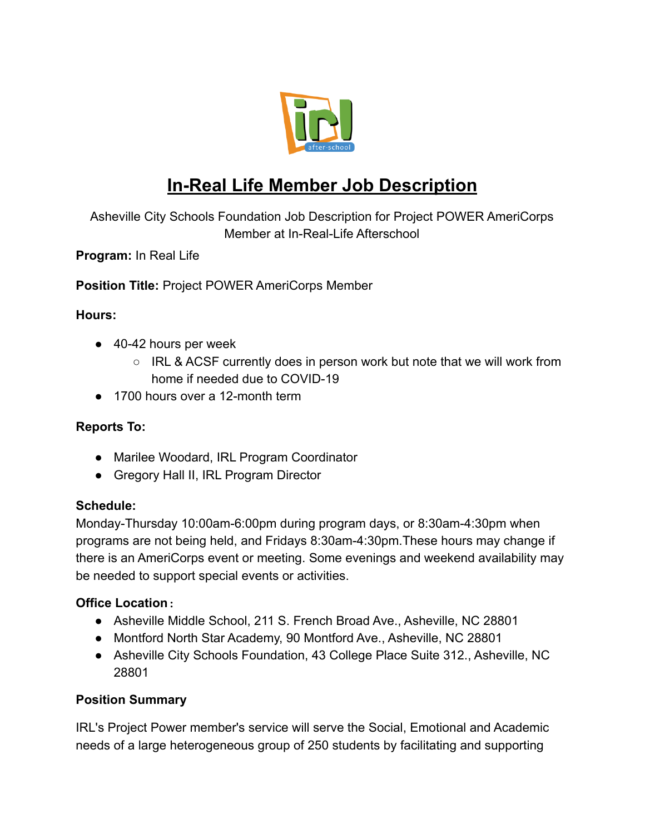

# **In-Real Life Member Job Description**

Asheville City Schools Foundation Job Description for Project POWER AmeriCorps Member at In-Real-Life Afterschool

**Program:** In Real Life

**Position Title:** Project POWER AmeriCorps Member

### **Hours:**

- 40-42 hours per week
	- IRL & ACSF currently does in person work but note that we will work from home if needed due to COVID-19
- 1700 hours over a 12-month term

#### **Reports To:**

- Marilee Woodard, IRL Program Coordinator
- Gregory Hall II, IRL Program Director

#### **Schedule:**

Monday-Thursday 10:00am-6:00pm during program days, or 8:30am-4:30pm when programs are not being held, and Fridays 8:30am-4:30pm.These hours may change if there is an AmeriCorps event or meeting. Some evenings and weekend availability may be needed to support special events or activities.

## **Office Location**:

- Asheville Middle School, 211 S. French Broad Ave., Asheville, NC 28801
- Montford North Star Academy, 90 Montford Ave., Asheville, NC 28801
- Asheville City Schools Foundation, 43 College Place Suite 312., Asheville, NC 28801

## **Position Summary**

IRL's Project Power member's service will serve the Social, Emotional and Academic needs of a large heterogeneous group of 250 students by facilitating and supporting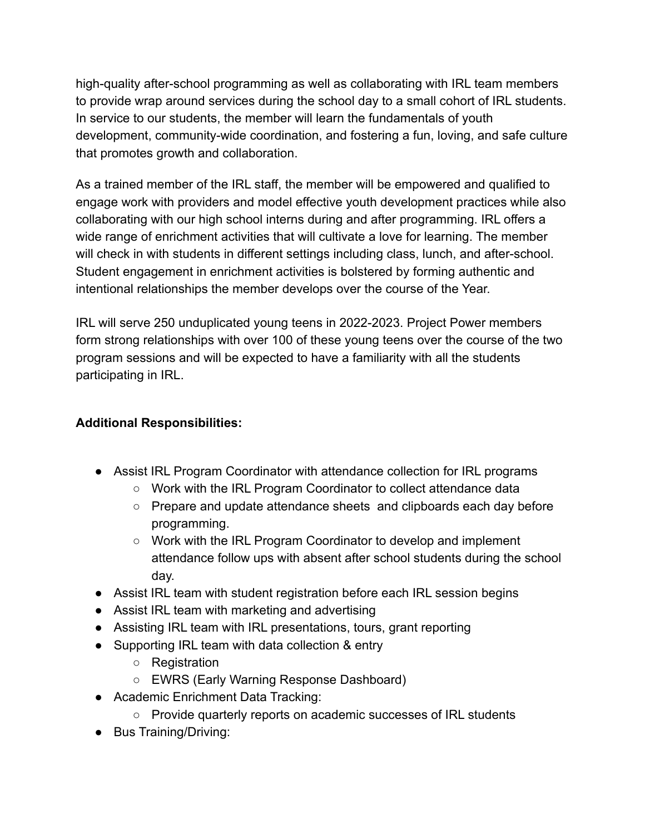high-quality after-school programming as well as collaborating with IRL team members to provide wrap around services during the school day to a small cohort of IRL students. In service to our students, the member will learn the fundamentals of youth development, community-wide coordination, and fostering a fun, loving, and safe culture that promotes growth and collaboration.

As a trained member of the IRL staff, the member will be empowered and qualified to engage work with providers and model effective youth development practices while also collaborating with our high school interns during and after programming. IRL offers a wide range of enrichment activities that will cultivate a love for learning. The member will check in with students in different settings including class, lunch, and after-school. Student engagement in enrichment activities is bolstered by forming authentic and intentional relationships the member develops over the course of the Year.

IRL will serve 250 unduplicated young teens in 2022-2023. Project Power members form strong relationships with over 100 of these young teens over the course of the two program sessions and will be expected to have a familiarity with all the students participating in IRL.

## **Additional Responsibilities:**

- Assist IRL Program Coordinator with attendance collection for IRL programs
	- Work with the IRL Program Coordinator to collect attendance data
	- Prepare and update attendance sheets and clipboards each day before programming.
	- Work with the IRL Program Coordinator to develop and implement attendance follow ups with absent after school students during the school day.
- Assist IRL team with student registration before each IRL session begins
- Assist IRL team with marketing and advertising
- Assisting IRL team with IRL presentations, tours, grant reporting
- Supporting IRL team with data collection & entry
	- Registration
	- EWRS (Early Warning Response Dashboard)
- Academic Enrichment Data Tracking:
	- Provide quarterly reports on academic successes of IRL students
- Bus Training/Driving: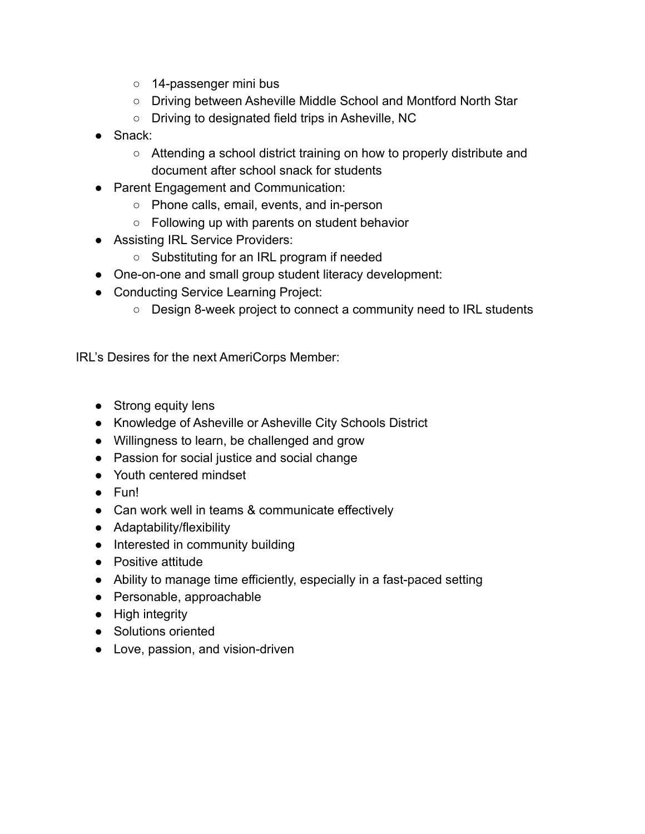- 14-passenger mini bus
- Driving between Asheville Middle School and Montford North Star
- Driving to designated field trips in Asheville, NC
- Snack:
	- $\circ$  Attending a school district training on how to properly distribute and document after school snack for students
- Parent Engagement and Communication:
	- Phone calls, email, events, and in-person
	- Following up with parents on student behavior
- Assisting IRL Service Providers:
	- Substituting for an IRL program if needed
- One-on-one and small group student literacy development:
- Conducting Service Learning Project:
	- Design 8-week project to connect a community need to IRL students

IRL's Desires for the next AmeriCorps Member:

- Strong equity lens
- Knowledge of Asheville or Asheville City Schools District
- Willingness to learn, be challenged and grow
- Passion for social justice and social change
- Youth centered mindset
- Fun!
- Can work well in teams & communicate effectively
- Adaptability/flexibility
- Interested in community building
- Positive attitude
- Ability to manage time efficiently, especially in a fast-paced setting
- Personable, approachable
- High integrity
- Solutions oriented
- Love, passion, and vision-driven